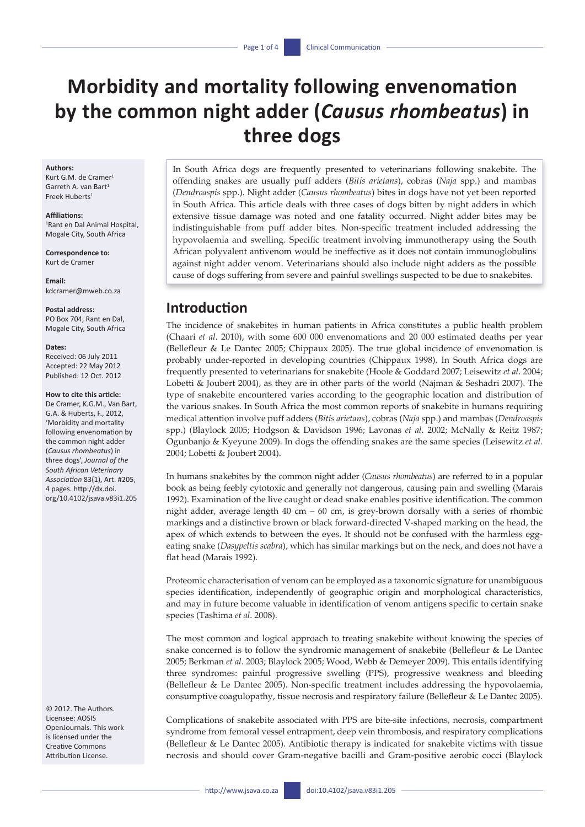# **Morbidity and mortality following envenomation by the common night adder (***Causus rhombeatus***) in three dogs**

#### **Authors:**

Kurt G.M. de Cramer<sup>1</sup> Garreth A. van Bart1 Freek Huberts $1$ 

#### **Affiliations:**

1 Rant en Dal Animal Hospital, Mogale City, South Africa

**Correspondence to:** Kurt de Cramer

**Email:**  [kdcramer@mweb.co.za](mailto:kdcramer@mweb.co.za)

### **Postal address:**

PO Box 704, Rant en Dal, Mogale City, South Africa

#### **Dates:**

Received: 06 July 2011 Accepted: 22 May 2012 Published: 12 Oct. 2012

#### **How to cite this article:**

De Cramer, K.G.M., Van Bart, G.A. & Huberts, F., 2012, 'Morbidity and mortality following envenomation by the common night adder (*Causus rhombeatus*) in three dogs', *Journal of the South African Veterinary Association* 83(1), Art. #205, 4 pages. [http://dx.doi.](http://dx.doi.org/10.4102/jsava.v83i1.205) [org/10.4102/jsava.v83i1.205](http://dx.doi.org/10.4102/jsava.v83i1.205)

© 2012. The Authors. Licensee: AOSIS OpenJournals. This work is licensed under the Creative Commons Attribution License.

In South Africa dogs are frequently presented to veterinarians following snakebite. The offending snakes are usually puff adders (*Bitis arietans*), cobras (*Naja* spp.) and mambas (*Dendroaspis* spp.). Night adder (*Causus rhombeatus*) bites in dogs have not yet been reported in South Africa. This article deals with three cases of dogs bitten by night adders in which extensive tissue damage was noted and one fatality occurred. Night adder bites may be indistinguishable from puff adder bites. Non-specific treatment included addressing the hypovolaemia and swelling. Specific treatment involving immunotherapy using the South African polyvalent antivenom would be ineffective as it does not contain immunoglobulins against night adder venom. Veterinarians should also include night adders as the possible cause of dogs suffering from severe and painful swellings suspected to be due to snakebites.

# **Introduction**

The incidence of snakebites in human patients in Africa constitutes a public health problem (Chaari *et al*. 2010), with some 600 000 envenomations and 20 000 estimated deaths per year (Bellefleur & Le Dantec 2005; Chippaux 2005). The true global incidence of envenomation is probably under-reported in developing countries (Chippaux 1998). In South Africa dogs are frequently presented to veterinarians for snakebite (Hoole & Goddard 2007; Leisewitz *et al*. 2004; Lobetti & Joubert 2004), as they are in other parts of the world (Najman & Seshadri 2007). The type of snakebite encountered varies according to the geographic location and distribution of the various snakes. In South Africa the most common reports of snakebite in humans requiring medical attention involve puff adders (*Bitis arietans*), cobras (*Naja* spp.) and mambas (*Dendroaspis* spp.) (Blaylock 2005; Hodgson & Davidson 1996; Lavonas *et al*. 2002; McNally & Reitz 1987; Ogunbanjo & Kyeyune 2009). In dogs the offending snakes are the same species (Leisewitz *et al.* 2004; Lobetti & Joubert 2004).

In humans snakebites by the common night adder (*Causus rhombeatus*) are referred to in a popular book as being feebly cytotoxic and generally not dangerous, causing pain and swelling (Marais 1992). Examination of the live caught or dead snake enables positive identification. The common night adder, average length 40 cm – 60 cm, is grey-brown dorsally with a series of rhombic markings and a distinctive brown or black forward-directed V-shaped marking on the head, the apex of which extends to between the eyes. It should not be confused with the harmless eggeating snake (*Dasypeltis scabra*), which has similar markings but on the neck, and does not have a flat head (Marais 1992).

Proteomic characterisation of venom can be employed as a taxonomic signature for unambiguous species identification, independently of geographic origin and morphological characteristics, and may in future become valuable in identification of venom antigens specific to certain snake species (Tashima *et al*. 2008).

The most common and logical approach to treating snakebite without knowing the species of snake concerned is to follow the syndromic management of snakebite (Bellefleur & Le Dantec 2005; Berkman *et al*. 2003; Blaylock 2005; Wood, Webb & Demeyer 2009). This entails identifying three syndromes: painful progressive swelling (PPS), progressive weakness and bleeding (Bellefleur & Le Dantec 2005). Non-specific treatment includes addressing the hypovolaemia, consumptive coagulopathy, tissue necrosis and respiratory failure (Bellefleur & Le Dantec 2005).

Complications of snakebite associated with PPS are bite-site infections, necrosis, compartment syndrome from femoral vessel entrapment, deep vein thrombosis, and respiratory complications (Bellefleur & Le Dantec 2005). Antibiotic therapy is indicated for snakebite victims with tissue necrosis and should cover Gram-negative bacilli and Gram-positive aerobic cocci (Blaylock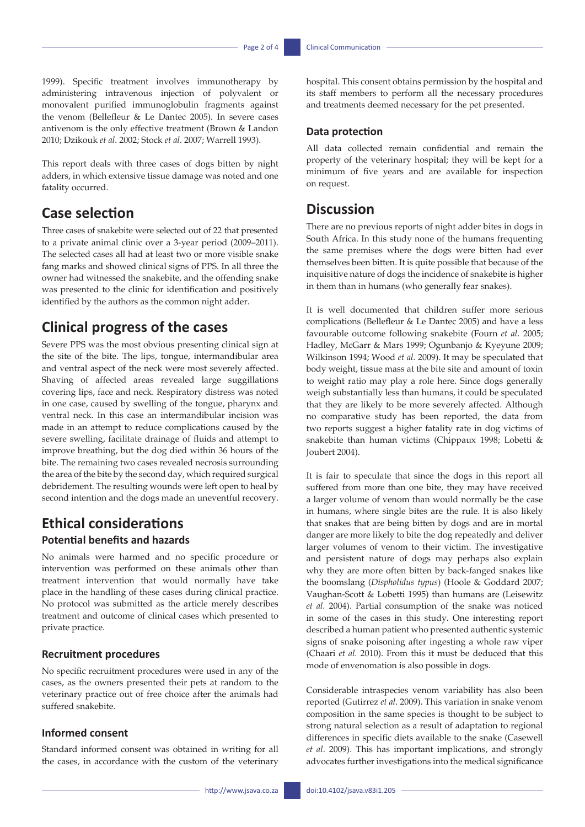1999). Specific treatment involves immunotherapy by administering intravenous injection of polyvalent or monovalent purified immunoglobulin fragments against the venom (Bellefleur & Le Dantec 2005). In severe cases antivenom is the only effective treatment (Brown & Landon 2010; Dzikouk *et al*. 2002; Stock *et al*. 2007; Warrell 1993).

This report deals with three cases of dogs bitten by night adders, in which extensive tissue damage was noted and one fatality occurred.

## **Case selection**

Three cases of snakebite were selected out of 22 that presented to a private animal clinic over a 3-year period (2009–2011). The selected cases all had at least two or more visible snake fang marks and showed clinical signs of PPS. In all three the owner had witnessed the snakebite, and the offending snake was presented to the clinic for identification and positively identified by the authors as the common night adder.

# **Clinical progress of the cases**

Severe PPS was the most obvious presenting clinical sign at the site of the bite. The lips, tongue, intermandibular area and ventral aspect of the neck were most severely affected. Shaving of affected areas revealed large suggillations covering lips, face and neck. Respiratory distress was noted in one case, caused by swelling of the tongue, pharynx and ventral neck. In this case an intermandibular incision was made in an attempt to reduce complications caused by the severe swelling, facilitate drainage of fluids and attempt to improve breathing, but the dog died within 36 hours of the bite. The remaining two cases revealed necrosis surrounding the area of the bite by the second day, which required surgical debridement. The resulting wounds were left open to heal by second intention and the dogs made an uneventful recovery.

# **Ethical considerations**

### **Potential benefits and hazards**

No animals were harmed and no specific procedure or intervention was performed on these animals other than treatment intervention that would normally have take place in the handling of these cases during clinical practice. No protocol was submitted as the article merely describes treatment and outcome of clinical cases which presented to private practice.

#### **Recruitment procedures**

No specific recruitment procedures were used in any of the cases, as the owners presented their pets at random to the veterinary practice out of free choice after the animals had suffered snakebite.

### **Informed consent**

Standard informed consent was obtained in writing for all the cases, in accordance with the custom of the veterinary hospital. This consent obtains permission by the hospital and its staff members to perform all the necessary procedures and treatments deemed necessary for the pet presented.

#### **Data protection**

All data collected remain confidential and remain the property of the veterinary hospital; they will be kept for a minimum of five years and are available for inspection on request.

## **Discussion**

There are no previous reports of night adder bites in dogs in South Africa. In this study none of the humans frequenting the same premises where the dogs were bitten had ever themselves been bitten. It is quite possible that because of the inquisitive nature of dogs the incidence of snakebite is higher in them than in humans (who generally fear snakes).

It is well documented that children suffer more serious complications (Bellefleur & Le Dantec 2005) and have a less favourable outcome following snakebite (Fourn *et al*. 2005; Hadley, McGarr & Mars 1999; Ogunbanjo & Kyeyune 2009; Wilkinson 1994; Wood *et al.* 2009). It may be speculated that body weight, tissue mass at the bite site and amount of toxin to weight ratio may play a role here. Since dogs generally weigh substantially less than humans, it could be speculated that they are likely to be more severely affected. Although no comparative study has been reported, the data from two reports suggest a higher fatality rate in dog victims of snakebite than human victims (Chippaux 1998; Lobetti & Joubert 2004).

It is fair to speculate that since the dogs in this report all suffered from more than one bite, they may have received a larger volume of venom than would normally be the case in humans, where single bites are the rule. It is also likely that snakes that are being bitten by dogs and are in mortal danger are more likely to bite the dog repeatedly and deliver larger volumes of venom to their victim. The investigative and persistent nature of dogs may perhaps also explain why they are more often bitten by back-fanged snakes like the boomslang (*Dispholidus typus*) (Hoole & Goddard 2007; Vaughan-Scott & Lobetti 1995) than humans are (Leisewitz *et al.* 2004). Partial consumption of the snake was noticed in some of the cases in this study. One interesting report described a human patient who presented authentic systemic signs of snake poisoning after ingesting a whole raw viper (Chaari *et al.* 2010). From this it must be deduced that this mode of envenomation is also possible in dogs.

Considerable intraspecies venom variability has also been reported (Gutirrez *et al*. 2009). This variation in snake venom composition in the same species is thought to be subject to strong natural selection as a result of adaptation to regional differences in specific diets available to the snake (Casewell *et al*. 2009). This has important implications, and strongly advocates further investigations into the medical significance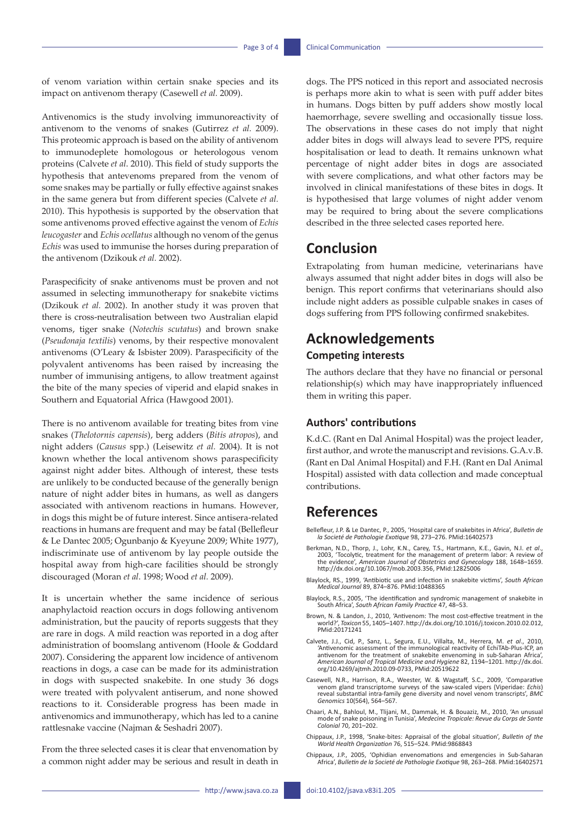of venom variation within certain snake species and its impact on antivenom therapy (Casewell *et al.* 2009).

Antivenomics is the study involving immunoreactivity of antivenom to the venoms of snakes (Gutirrez *et al.* 2009). This proteomic approach is based on the ability of antivenom to immunodeplete homologous or heterologous venom proteins (Calvete *et al*. 2010). This field of study supports the hypothesis that antevenoms prepared from the venom of some snakes may be partially or fully effective against snakes in the same genera but from different species (Calvete *et al.* 2010). This hypothesis is supported by the observation that some antivenoms proved effective against the venom of *Echis leucogaster* and *Echis ocellatus* although no venom of the genus *Echis* was used to immunise the horses during preparation of the antivenom (Dzikouk *et al.* 2002).

Paraspecificity of snake antivenoms must be proven and not assumed in selecting immunotherapy for snakebite victims (Dzikouk *et al.* 2002). In another study it was proven that there is cross-neutralisation between two Australian elapid venoms, tiger snake (*Notechis scutatus*) and brown snake (*Pseudonaja textilis*) venoms, by their respective monovalent antivenoms (O'Leary & Isbister 2009). Paraspecificity of the polyvalent antivenoms has been raised by increasing the number of immunising antigens, to allow treatment against the bite of the many species of viperid and elapid snakes in Southern and Equatorial Africa (Hawgood 2001).

There is no antivenom available for treating bites from vine snakes (*Thelotornis capensis*), berg adders (*Bitis atropos*), and night adders (*Causus* spp.) (Leisewitz *et al.* 2004). It is not known whether the local antivenom shows paraspecificity against night adder bites. Although of interest, these tests are unlikely to be conducted because of the generally benign nature of night adder bites in humans, as well as dangers associated with antivenom reactions in humans. However, in dogs this might be of future interest. Since antisera-related reactions in humans are frequent and may be fatal (Bellefleur & Le Dantec 2005; Ogunbanjo & Kyeyune 2009; White 1977), indiscriminate use of antivenom by lay people outside the hospital away from high-care facilities should be strongly discouraged (Moran *et al*. 1998; Wood *et al.* 2009).

It is uncertain whether the same incidence of serious anaphylactoid reaction occurs in dogs following antivenom administration, but the paucity of reports suggests that they are rare in dogs. A mild reaction was reported in a dog after administration of boomslang antivenom (Hoole & Goddard 2007). Considering the apparent low incidence of antivenom reactions in dogs, a case can be made for its administration in dogs with suspected snakebite. In one study 36 dogs were treated with polyvalent antiserum, and none showed reactions to it. Considerable progress has been made in antivenomics and immunotherapy, which has led to a canine rattlesnake vaccine (Najman & Seshadri 2007).

From the three selected cases it is clear that envenomation by a common night adder may be serious and result in death in dogs. The PPS noticed in this report and associated necrosis is perhaps more akin to what is seen with puff adder bites in humans. Dogs bitten by puff adders show mostly local haemorrhage, severe swelling and occasionally tissue loss. The observations in these cases do not imply that night adder bites in dogs will always lead to severe PPS, require hospitalisation or lead to death. It remains unknown what percentage of night adder bites in dogs are associated with severe complications, and what other factors may be involved in clinical manifestations of these bites in dogs. It is hypothesised that large volumes of night adder venom may be required to bring about the severe complications described in the three selected cases reported here.

## **Conclusion**

Extrapolating from human medicine, veterinarians have always assumed that night adder bites in dogs will also be benign. This report confirms that veterinarians should also include night adders as possible culpable snakes in cases of dogs suffering from PPS following confirmed snakebites.

# **Acknowledgements**

### **Competing interests**

The authors declare that they have no financial or personal relationship(s) which may have inappropriately influenced them in writing this paper.

#### **Authors' contributions**

K.d.C. (Rant en Dal Animal Hospital) was the project leader, first author, and wrote the manuscript and revisions. G.A.v.B. (Rant en Dal Animal Hospital) and F.H. (Rant en Dal Animal Hospital) assisted with data collection and made conceptual contributions.

# **References**

- Bellefleur, J.P. & Le Dantec, P., 2005, 'Hospital care of snakebites in Africa', *Bulletin de la Societé de Pathologie Exotique* 98, 273–276. PMid:16402573
- Berkman, N.D., Thorp, J., Lohr, K.N., Carey, T.S., Hartmann, K.E., Gavin, N.I. *et al*., 2003, 'Tocolytic, treatment for the management of preterm labor: A review of the evidence', *American Journal of Obstetrics and Gynecology* 188, 1648–1659. [http://dx.doi.org/10.1067/mob.2003.356,](http://dx.doi.org/10.1067/mob.2003.356) PMid:12825006
- Blaylock, RS., 1999, 'Antibiotic use and infection in snakebite victims', *South African Medical Journal* 89, 874–876. PMid:10488365
- Blaylock, R.S., 2005, 'The identification and syndromic management of snakebite in South Africa', *South African Family Practice* 47, 48–53.
- Brown, N. & Landon, J., 2010, 'Antivenom: The most cost-effective treatment in the world?', *Toxicon* 55, 1405–1407. [http://dx.doi.org/10.1016/j.toxicon.2010.02.012,](http://dx.doi.org/10.1016/j.toxicon.2010.02.012) PMid:20171241
- Calvete, J.J., Cid, P., Sanz, L., Segura, E.U., Villalta, M., Herrera, M. *et al*., 2010, 'Antivenomic assessment of the immunological reactivity of EchiTAb-Plus-ICP, an antivenom for the treatment of snakebite envenoming in sub-Saharan Africa', *American Journal of Tropical Medicine and Hygiene* 82, 1194–1201. [http://dx.doi.](http://dx.doi.org/10.4269/ajtmh.2010.09-0733) [org/10.4269/ajtmh.2010.09-0733,](http://dx.doi.org/10.4269/ajtmh.2010.09-0733) PMid:20519622
- Casewell, N.R., Harrison, R.A., Weester, W. & Wagstaff, S.C., 2009, 'Comparative venom gland transcriptome surveys of the saw-scaled vipers (Viperidae: *Echis*) reveal substantial intra-family gene diversity and novel venom transcripts', *BMC Genomics* 10(564), 564–567.
- Chaari, A.N., Bahloul, M., Tlijani, M., Dammak, H. & Bouaziz, M., 2010, 'An unusual mode of snake poisoning in Tunisia', *Medecine Tropicale: Revue du Corps de Sante Colonial* 70, 201–202.
- Chippaux, J.P., 1998, 'Snake-bites: Appraisal of the global situation', *Bulletin of the World Health Organization* 76, 515–524. PMid:9868843
- Chippaux, J.P., 2005, 'Ophidian envenomations and emergencies in Sub-Saharan Africa', *Bulletin de la Societé de Pathologie Exotique* 98, 263–268. PMid:16402571